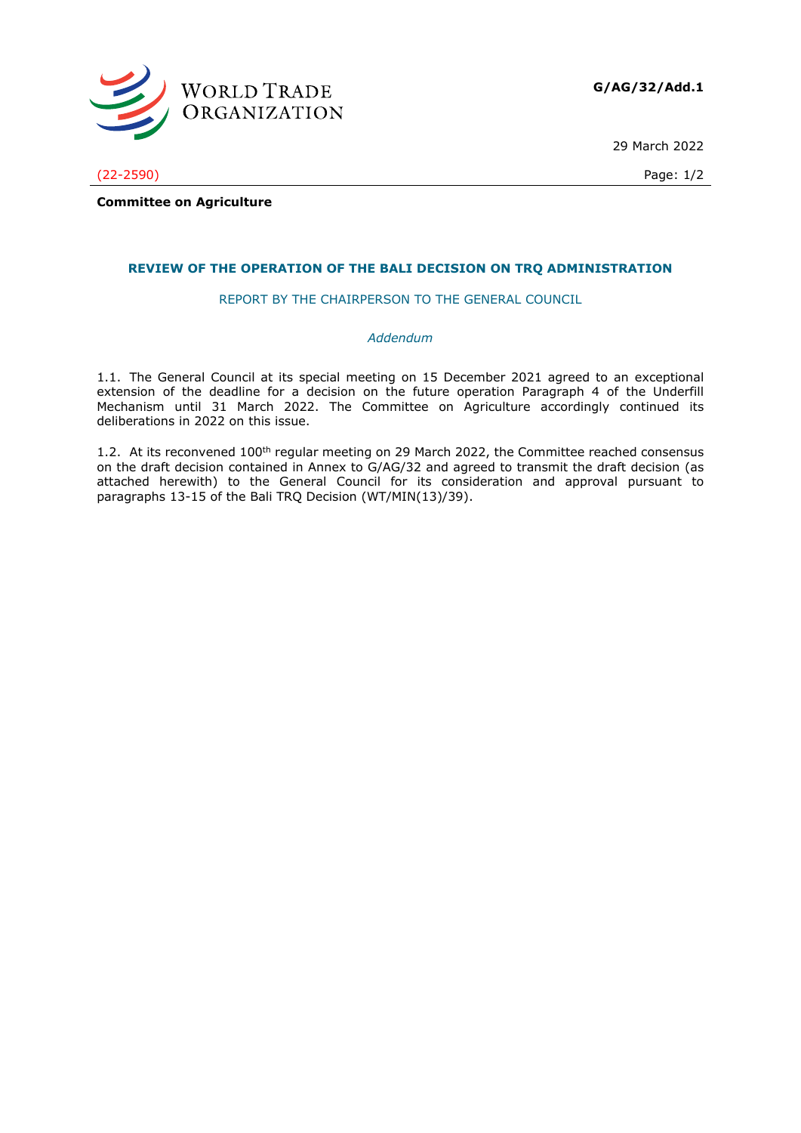

29 March 2022

(22-2590) Page: 1/2

**Committee on Agriculture**

## **REVIEW OF THE OPERATION OF THE BALI DECISION ON TRQ ADMINISTRATION**

REPORT BY THE CHAIRPERSON TO THE GENERAL COUNCIL

## *Addendum*

1.1. The General Council at its special meeting on 15 December 2021 agreed to an exceptional extension of the deadline for a decision on the future operation Paragraph 4 of the Underfill Mechanism until 31 March 2022. The Committee on Agriculture accordingly continued its deliberations in 2022 on this issue.

1.2. At its reconvened 100<sup>th</sup> regular meeting on 29 March 2022, the Committee reached consensus on the draft decision contained in Annex to G/AG/32 and agreed to transmit the draft decision (as attached herewith) to the General Council for its consideration and approval pursuant to paragraphs 13-15 of the Bali TRQ Decision (WT/MIN(13)/39).